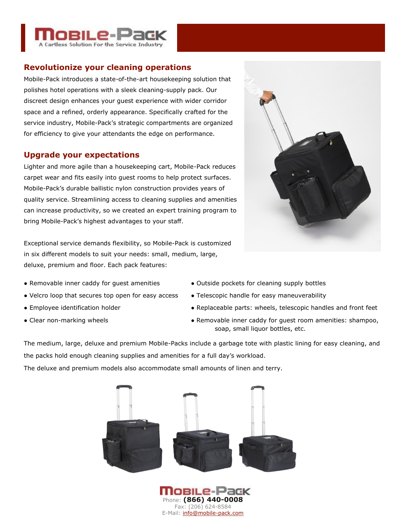

# **Revolutionize your cleaning operations**

Mobile-Pack introduces a state-of-the-art housekeeping solution that polishes hotel operations with a sleek cleaning-supply pack. Our discreet design enhances your guest experience with wider corridor space and a refined, orderly appearance. Specifically crafted for the service industry, Mobile-Pack's strategic compartments are organized for efficiency to give your attendants the edge on performance.

## **Upgrade your expectations**

Lighter and more agile than a housekeeping cart, Mobile-Pack reduces carpet wear and fits easily into guest rooms to help protect surfaces. Mobile-Pack's durable ballistic nylon construction provides years of quality service. Streamlining access to cleaning supplies and amenities can increase productivity, so we created an expert training program to bring Mobile-Pack's highest advantages to your staff.

Exceptional service demands flexibility, so Mobile-Pack is customized in six different models to suit your needs: small, medium, large, deluxe, premium and floor. Each pack features:

- Removable inner caddy for quest amenities Outside pockets for cleaning supply bottles
- Velcro loop that secures top open for easy access Telescopic handle for easy maneuverability
- 
- 
- 
- 
- Employee identification holder <br>● Replaceable parts: wheels, telescopic handles and front feet
- Clear non-marking wheels **Access 2018** Removable inner caddy for quest room amenities: shampoo, soap, small liquor bottles, etc.

The medium, large, deluxe and premium Mobile-Packs include a garbage tote with plastic lining for easy cleaning, and the packs hold enough cleaning supplies and amenities for a full day's workload.

The deluxe and premium models also accommodate small amounts of linen and terry.



Phone: **(866) 440-0008** Fax: (206) 624-8584 E-Mail: info@mobile-pack.com

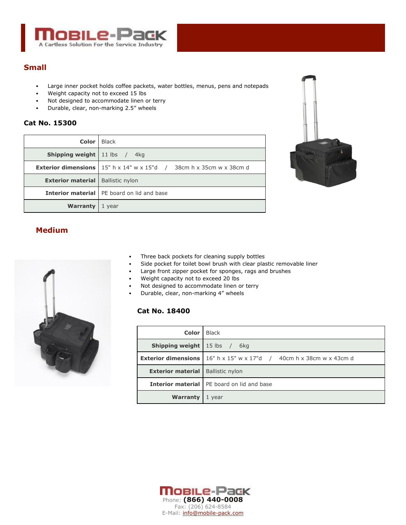

### **Small**

- Large inner pocket holds coffee packets, water bottles, menus, pens and notepads
- Weight capacity not to exceed 15 lbs
- Not designed to accommodate linen or terry
- Durable, clear, non-marking 2.5" wheels

#### **Cat No. 15300**

| Color                                      | <b>Black</b>                                                                                                   |
|--------------------------------------------|----------------------------------------------------------------------------------------------------------------|
| <b>Shipping weight</b> 11 lbs /            | 4ka                                                                                                            |
|                                            | <b>Exterior dimensions</b>   $15^{\circ}$ h x $14^{\circ}$ w x $15^{\circ}$ d / $38cm$ h x $35cm$ w x $38cm$ d |
| <b>Exterior material</b>   Ballistic nylon |                                                                                                                |
|                                            | <b>Interior material</b> I PE board on lid and base                                                            |
| Warranty                                   | 1 vear                                                                                                         |



## **Medium**



- Three back pockets for cleaning supply bottles
- Side pocket for toilet bowl brush with clear plastic removable liner
- Large front zipper pocket for sponges, rags and brushes
- Weight capacity not to exceed 20 lbs
- Not designed to accommodate linen or terry
- Durable, clear, non-marking 4" wheels

### **Cat No. 18400**

| Color                                   | <b>Black</b>                                                                           |
|-----------------------------------------|----------------------------------------------------------------------------------------|
| <b>Shipping weight</b> $\vert$ 15 lbs / | 6kg                                                                                    |
|                                         | <b>Exterior dimensions</b>   $16''$ h x $15''$ w x $17''$ d / 40cm h x 38cm w x 43cm d |
| <b>Exterior material</b>                | <b>Ballistic nylon</b>                                                                 |
|                                         | <b>Interior material</b> PE board on lid and base                                      |
| Warranty                                | 1 year                                                                                 |

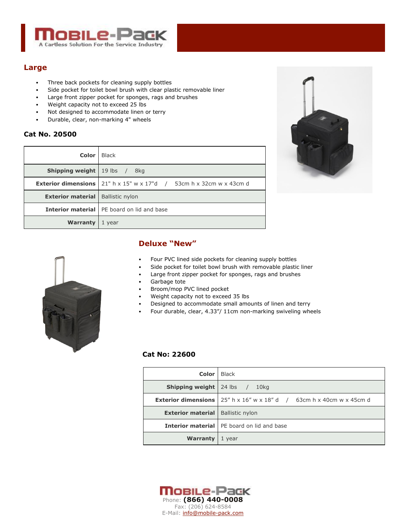

# **Large**

- Three back pockets for cleaning supply bottles
- Side pocket for toilet bowl brush with clear plastic removable liner
- Large front zipper pocket for sponges, rags and brushes
- Weight capacity not to exceed 25 lbs
- Not designed to accommodate linen or terry
- Durable, clear, non-marking 4" wheels

#### **Cat No. 20500**

| Color                                      | <b>Black</b>                                                                                             |
|--------------------------------------------|----------------------------------------------------------------------------------------------------------|
| <b>Shipping weight</b> $\vert$ 19 lbs /    | 8ka                                                                                                      |
|                                            | <b>Exterior dimensions</b>   21" h $\times$ 15" w $\times$ 17"d / 53cm h $\times$ 32cm w $\times$ 43cm d |
| <b>Exterior material</b>   Ballistic nylon |                                                                                                          |
|                                            | <b>Interior material</b>   PE board on lid and base                                                      |
| Warranty                                   | 1 year                                                                                                   |





### **Deluxe "New"**

- Four PVC lined side pockets for cleaning supply bottles
- Side pocket for toilet bowl brush with removable plastic liner
- Large front zipper pocket for sponges, rags and brushes
- Garbage tote
- Broom/mop PVC lined pocket
- Weight capacity not to exceed 35 lbs
- Designed to accommodate small amounts of linen and terry
- Four durable, clear, 4.33"/ 11cm non-marking swiveling wheels

#### **Cat No: 22600**

| Color                                      | Black                                                                                                   |
|--------------------------------------------|---------------------------------------------------------------------------------------------------------|
| <b>Shipping weight</b> $24$ lbs /          | 10ka                                                                                                    |
|                                            | <b>Exterior dimensions</b> 25" h $\times$ 16" w $\times$ 18" d / 63cm h $\times$ 40cm w $\times$ 45cm d |
| <b>Exterior material</b>   Ballistic nylon |                                                                                                         |
|                                            | <b>Interior material</b> PE board on lid and base                                                       |
| Warranty                                   | 1 year                                                                                                  |

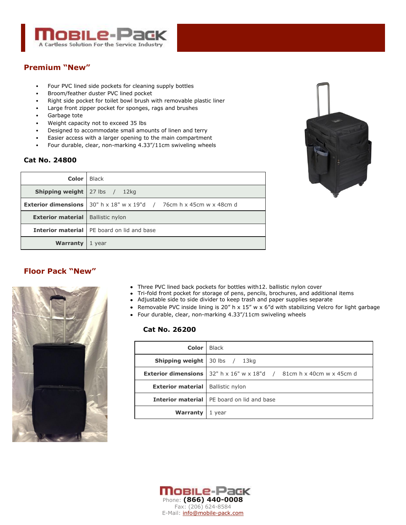

# **Premium "New"**

- Four PVC lined side pockets for cleaning supply bottles
- Broom/feather duster PVC lined pocket
- Right side pocket for toilet bowl brush with removable plastic liner
- Large front zipper pocket for sponges, rags and brushes
- Garbage tote
- Weight capacity not to exceed 35 lbs
- Designed to accommodate small amounts of linen and terry
- Easier access with a larger opening to the main compartment
- Four durable, clear, non-marking 4.33"/11cm swiveling wheels

#### **Cat No. 24800**

|                                            | <b>Color</b> Black                                                                     |
|--------------------------------------------|----------------------------------------------------------------------------------------|
| <b>Shipping weight</b> $ 27$ lbs $/$ 12kg  |                                                                                        |
|                                            | <b>Exterior dimensions</b>   30" h x 18" w x 19"d $\,$ / $\,$ 76cm h x 45cm w x 48cm d |
| <b>Exterior material</b>   Ballistic nylon |                                                                                        |
|                                            | <b>Interior material</b> I PE board on lid and base                                    |
| <b>Warranty</b> 1 year                     |                                                                                        |

# **Floor Pack "New"**



- Three PVC lined back pockets for bottles with12. ballistic nylon cover
- Tri-fold front pocket for storage of pens, pencils, brochures, and additional items
- Adjustable side to side divider to keep trash and paper supplies separate
- Removable PVC inside lining is 20" h  $\times$  15" w  $\times$  6"d with stabilizing Velcro for light garbage
- Four durable, clear, non-marking 4.33"/11cm swiveling wheels

#### **Cat No. 26200**

| Color I                                    | <b>Black</b>                                                                          |
|--------------------------------------------|---------------------------------------------------------------------------------------|
| <b>Shipping weight</b> 30 lbs $/$ 13 kg    |                                                                                       |
|                                            | <b>Exterior dimensions</b>   $32^{\circ}$ h x 16" w x 18"d / 81cm h x 40cm w x 45cm d |
| <b>Exterior material</b>   Ballistic nylon |                                                                                       |
|                                            | <b>Interior material</b> PE board on lid and base                                     |
| Warranty                                   | 1 year                                                                                |



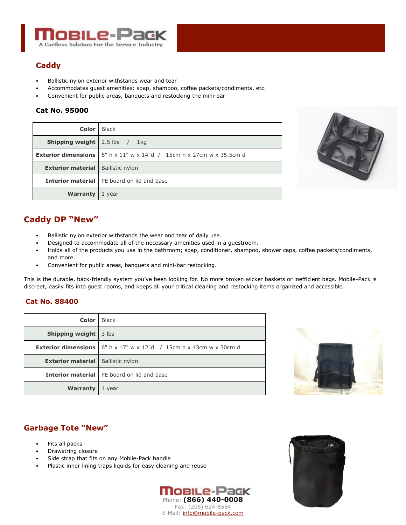

# **Caddy**

- Ballistic nylon exterior withstands wear and tear
- Accommodates guest amenities: soap, shampoo, coffee packets/condiments, etc.
- Convenient for public areas, banquets and restocking the mini-bar

#### **Cat No. 95000**

| <b>Color</b> Black                         |                                                                                                                               |
|--------------------------------------------|-------------------------------------------------------------------------------------------------------------------------------|
| <b>Shipping weight</b> 2.5 lbs / 1kg       |                                                                                                                               |
|                                            | <b>Exterior dimensions</b> $\begin{bmatrix} 6'' & h \times 11'' & w \times 14'' & d \end{bmatrix}$ 15cm h x 27cm w x 35.5cm d |
| <b>Exterior material</b>   Ballistic nylon |                                                                                                                               |
|                                            | <b>Interior material</b> PE board on lid and base                                                                             |
| <b>Warranty</b>                            | 1 year                                                                                                                        |



# **Caddy DP "New"**

- Ballistic nylon exterior withstands the wear and tear of daily use.
- Designed to accommodate all of the necessary amenities used in a guestroom.
- Holds all of the products you use in the bathroom; soap, conditioner, shampoo, shower caps, coffee packets/condiments, and more.
- Convenient for public areas, banquets and mini-bar restocking.

This is the durable, back-friendly system you've been looking for. No more broken wicker baskets or inefficient bags. Mobile-Pack is discreet, easily fits into guest rooms, and keeps all your critical cleaning and restocking items organized and accessible.

#### **Cat No. 88400**

| <b>Color</b>                               | <b>Black</b>                                                                            |
|--------------------------------------------|-----------------------------------------------------------------------------------------|
| Shipping weight                            | 3 lbs                                                                                   |
|                                            | <b>Exterior dimensions</b> $ 6" h \times 17" w \times 12" d$ / 15cm h x 43cm w x 30cm d |
| <b>Exterior material</b>   Ballistic nylon |                                                                                         |
|                                            | <b>Interior material</b> PE board on lid and base                                       |
| <b>Warranty</b>                            | 1 year                                                                                  |



# **Garbage Tote "New"**

- Fits all packs
- Drawstring closure
- Side strap that fits on any Mobile-Pack handle
- Plastic inner lining traps liquids for easy cleaning and reuse